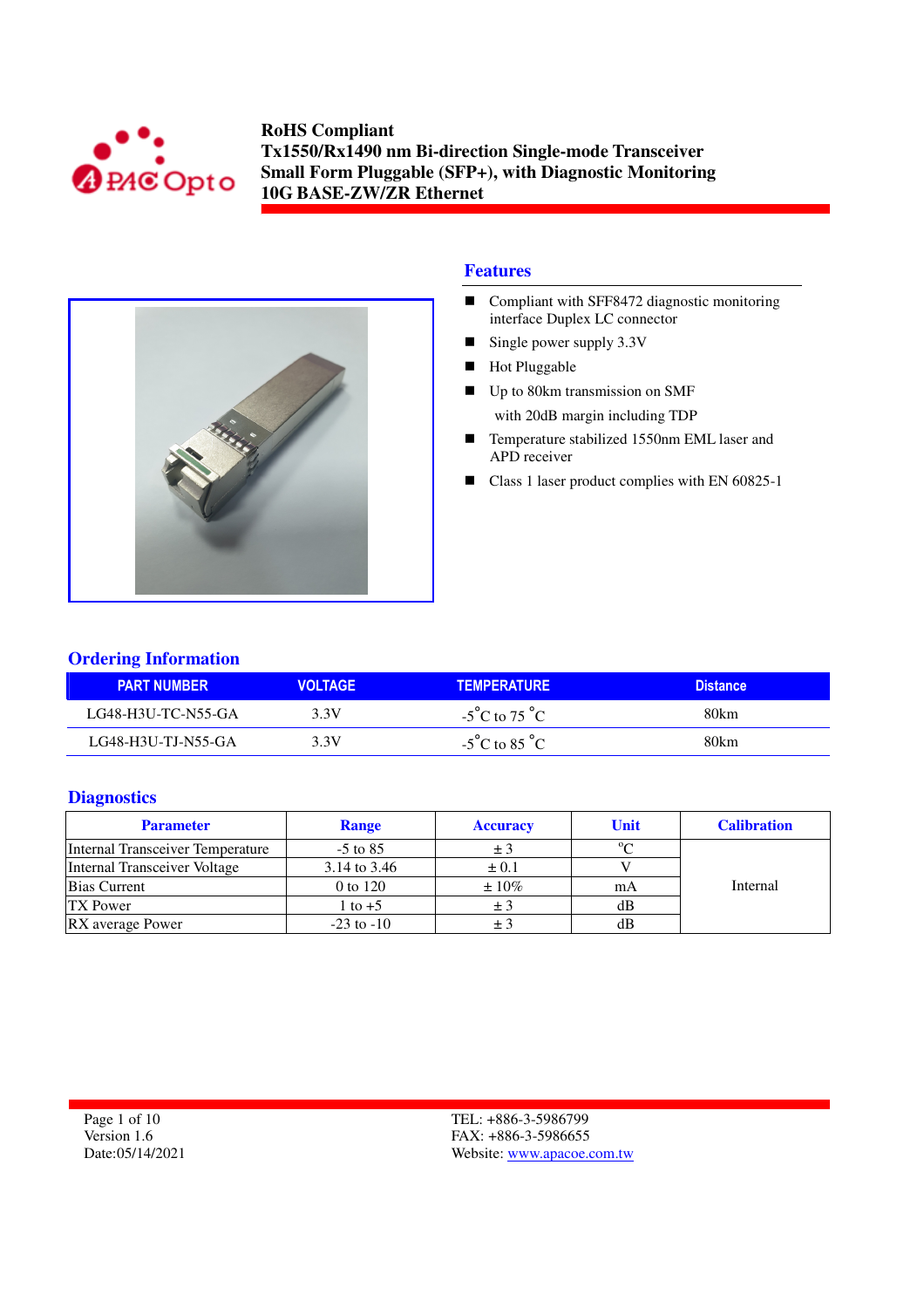



## **Features**

- Compliant with SFF8472 diagnostic monitoring interface Duplex LC connector
- Single power supply 3.3V
- Hot Pluggable
- Up to 80km transmission on SMF with 20dB margin including TDP
- Temperature stabilized 1550nm EML laser and APD receiver
- Class 1 laser product complies with EN 60825-1

## **Ordering Information**

| <b>PART NUMBER</b> | VOI TAGF. | <b>TEMPERATURE</b>                | <b>Distance</b> |
|--------------------|-----------|-----------------------------------|-----------------|
| LG48-H3U-TC-N55-GA | 3.3V      | $-5^{\circ}$ C to 75 $^{\circ}$ C | 80km            |
| LG48-H3U-TJ-N55-GA | 3 3 V     | $-5^{\circ}$ C to 85 $^{\circ}$ C | 80km            |

#### **Diagnostics**

| <b>Parameter</b>                 | <b>Range</b>   | <b>Accuracy</b> | Unit      | <b>Calibration</b> |
|----------------------------------|----------------|-----------------|-----------|--------------------|
| Internal Transceiver Temperature | $-5$ to 85     |                 | $0\sigma$ |                    |
| Internal Transceiver Voltage     | 3.14 to 3.46   | $\pm 0.1$       |           |                    |
| <b>Bias Current</b>              | 0 to 120       | $\pm 10\%$      | mA        | Internal           |
| <b>TX</b> Power                  | 1 to +5        |                 | dВ        |                    |
| RX average Power                 | $-23$ to $-10$ |                 | dB        |                    |

| Page 1 of 10    |
|-----------------|
| Version 1.6     |
| Date:05/14/2021 |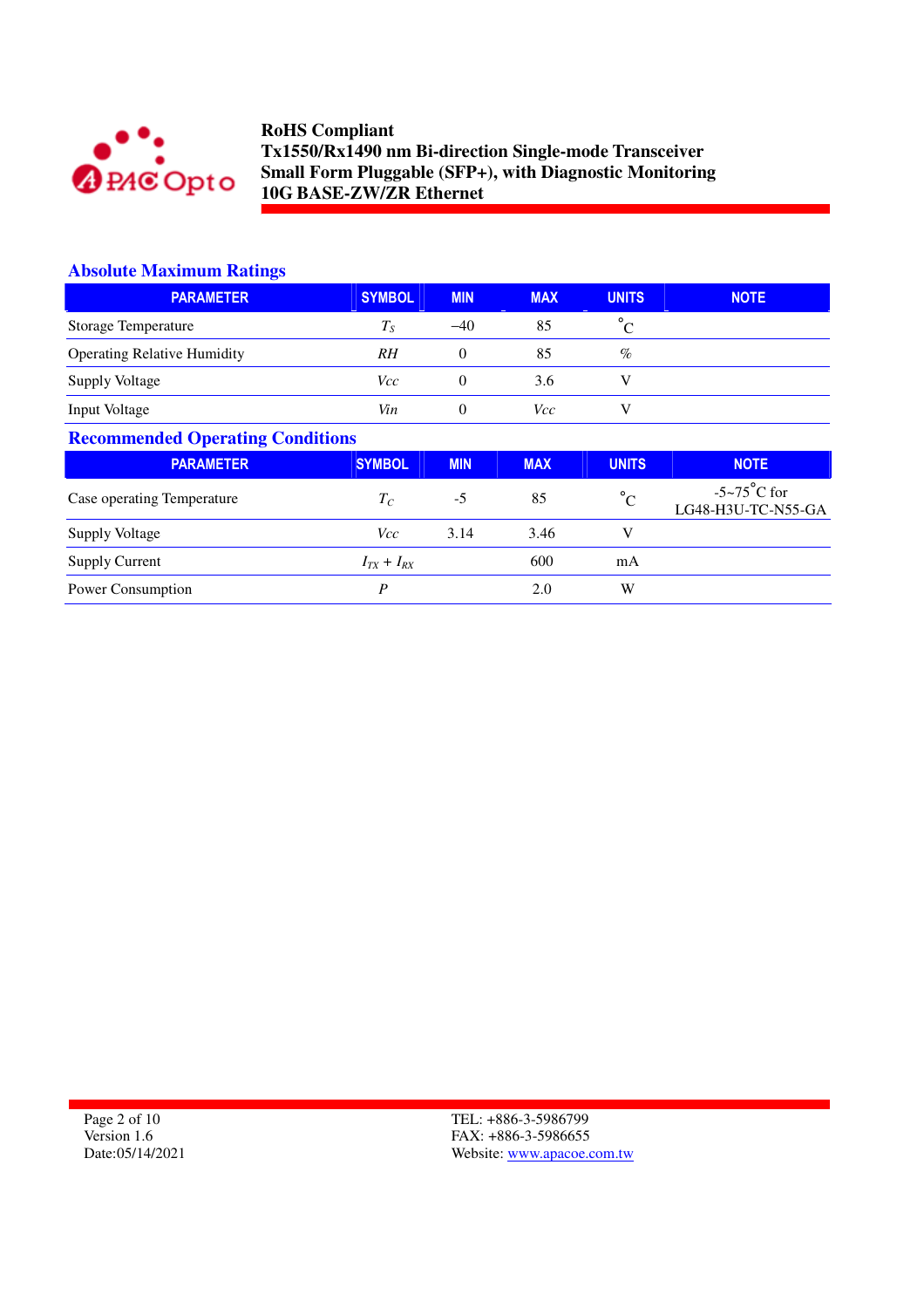

# **Absolute Maximum Ratings**

| <b>PARAMETER</b>                   | <b>SYMBOL</b> | <b>MIN</b> | <b>MAX</b> | <b>UNITS</b> | <b>NOTE</b> |
|------------------------------------|---------------|------------|------------|--------------|-------------|
| Storage Temperature                | $T_{\rm S}$   | $-40$      | 85         | $\circ$      |             |
| <b>Operating Relative Humidity</b> | RH            |            | 85         | $\%$         |             |
| <b>Supply Voltage</b>              | Vcc           |            | 3.6        |              |             |
| Input Voltage                      | Vin           |            | Vcc        |              |             |

# **Recommended Operating Conditions**

| <b>PARAMETER</b>           | <b>SYMBOL</b>     | <b>MIN</b> | <b>MAX</b> | <b>UNITS</b> | <b>NOTE</b>                                      |
|----------------------------|-------------------|------------|------------|--------------|--------------------------------------------------|
| Case operating Temperature | $T_C$             | -5         | 85         | $^{\circ}$ C | $-5 \sim 75^{\circ}$ C for<br>LG48-H3U-TC-N55-GA |
| <b>Supply Voltage</b>      | Vcc               | 3.14       | 3.46       |              |                                                  |
| <b>Supply Current</b>      | $I_{TX} + I_{RX}$ |            | 600        | mA           |                                                  |
| Power Consumption          | D                 |            | 2.0        | W            |                                                  |

Page 2 of 10 Version 1.6 Date:05/14/2021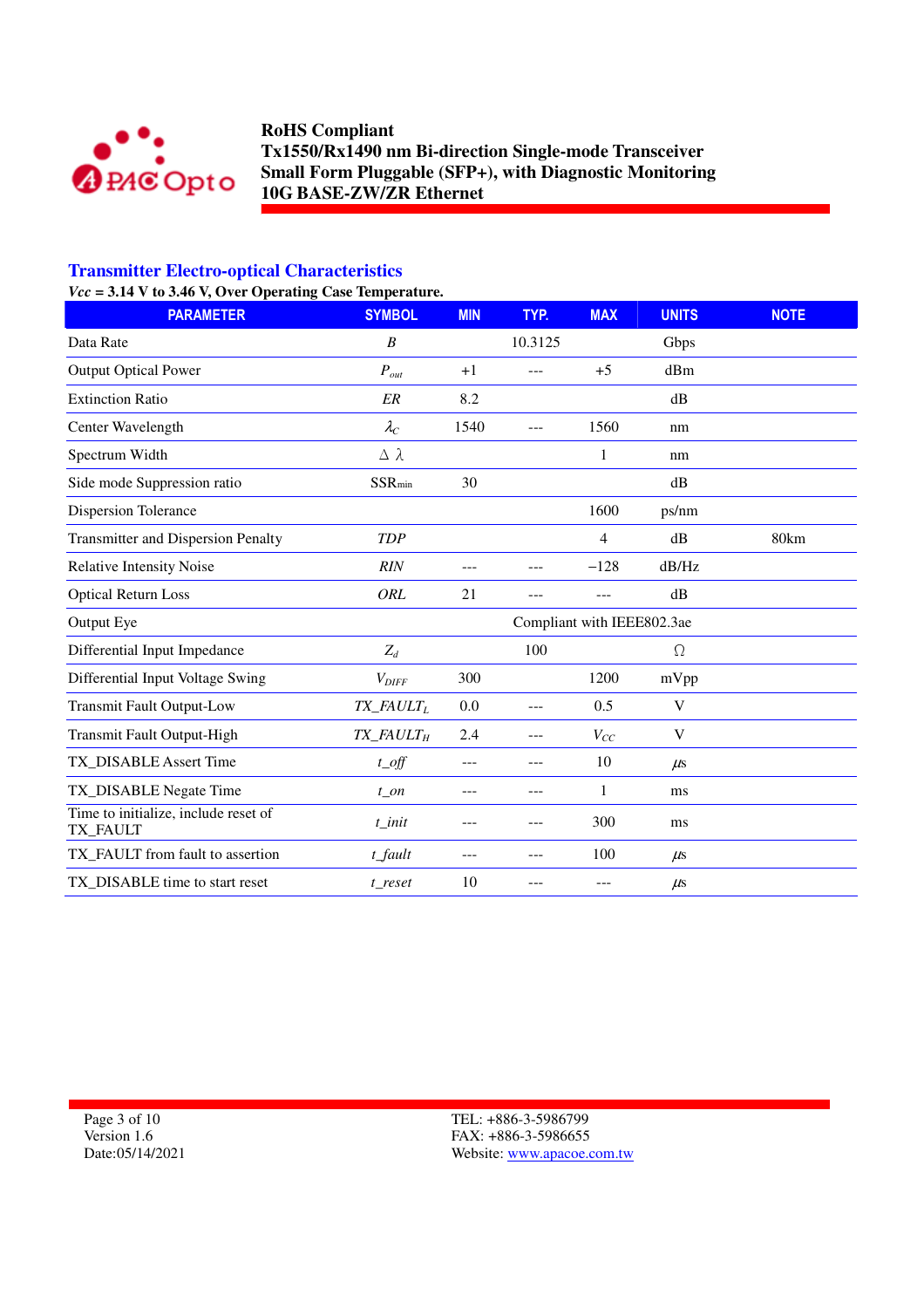

## **Transmitter Electro-optical Characteristics**

### *Vcc* **= 3.14 V to 3.46 V, Over Operating Case Temperature.**

| <b>PARAMETER</b>                                 | <b>SYMBOL</b>                        | <b>MIN</b> | TYP.    | <b>MAX</b>     | <b>UNITS</b> | <b>NOTE</b> |
|--------------------------------------------------|--------------------------------------|------------|---------|----------------|--------------|-------------|
| Data Rate                                        | $\boldsymbol{B}$                     |            | 10.3125 |                | Gbps         |             |
| <b>Output Optical Power</b>                      | $P_{out}$                            | $+1$       | ---     | $+5$           | dBm          |             |
| <b>Extinction Ratio</b>                          | ER                                   | 8.2        |         |                | dB           |             |
| Center Wavelength                                | $\lambda_C$                          | 1540       | ---     | 1560           | nm           |             |
| Spectrum Width                                   | $\Delta \lambda$                     |            |         | 1              | nm           |             |
| Side mode Suppression ratio                      | $SSR_{min}$                          | 30         |         |                | dB           |             |
| Dispersion Tolerance                             |                                      |            |         | 1600           | ps/nm        |             |
| Transmitter and Dispersion Penalty               | <b>TDP</b>                           |            |         | $\overline{4}$ | dB           | 80km        |
| Relative Intensity Noise                         | RIN                                  | ---        |         | $-128$         | dB/Hz        |             |
| <b>Optical Return Loss</b>                       | ORL                                  | 21         | ---     | $---$          | dB           |             |
| Output Eye                                       | Compliant with IEEE802.3ae           |            |         |                |              |             |
| Differential Input Impedance                     | $Z_d$                                |            | 100     |                | $\Omega$     |             |
| Differential Input Voltage Swing                 | $V_{DIFF}$                           | 300        |         | 1200           | mVpp         |             |
| <b>Transmit Fault Output-Low</b>                 | TX_FAULTL                            | 0.0        | ---     | 0.5            | $\mathbf V$  |             |
| Transmit Fault Output-High                       | $TX$ <sub>FAULT<math>_H</math></sub> | 2.4        | ---     | $V_{CC}$       | V            |             |
| TX_DISABLE Assert Time                           | $t$ <sub>_O</sub> ff                 | ---        | ---     | 10             | $\mu$ s      |             |
| TX_DISABLE Negate Time                           | $t$ _on                              | ---        | ---     | 1              | ms           |             |
| Time to initialize, include reset of<br>TX_FAULT | $t$ _init                            | ---        | ---     | 300            | ms           |             |
| TX_FAULT from fault to assertion                 | $t$ _fault                           | ---        | ---     | 100            | $\mu$ s      |             |
| TX_DISABLE time to start reset                   | t_reset                              | 10         |         | ---            | $\mu$ s      |             |

Page 3 of 10 Version 1.6 Date:05/14/2021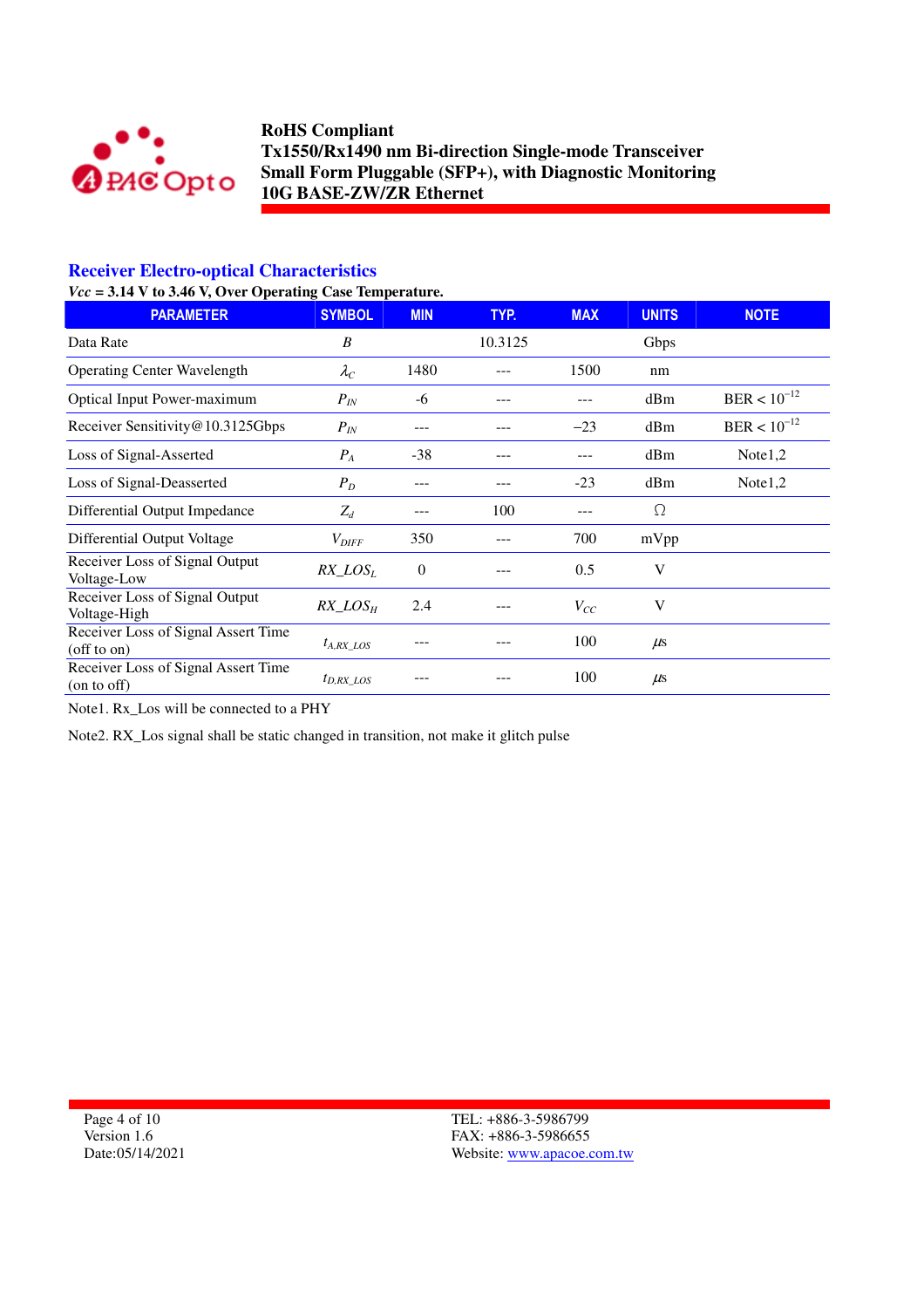

## **Receiver Electro-optical Characteristics**

### *Vcc* **= 3.14 V to 3.46 V, Over Operating Case Temperature.**

| <b>PARAMETER</b>                                         | <b>SYMBOL</b>     | <b>MIN</b> | TYP.    | <b>MAX</b> | <b>UNITS</b> | <b>NOTE</b>      |
|----------------------------------------------------------|-------------------|------------|---------|------------|--------------|------------------|
| Data Rate                                                | $\boldsymbol{B}$  |            | 10.3125 |            | Gbps         |                  |
| <b>Operating Center Wavelength</b>                       | $\lambda_C$       | 1480       |         | 1500       | nm           |                  |
| <b>Optical Input Power-maximum</b>                       | $P_{IN}$          | -6         |         |            | dBm          | $BER < 10^{-12}$ |
| Receiver Sensitivity@10.3125Gbps                         | $P_{IN}$          | ---        |         | $-23$      | dBm          | $BER < 10^{-12}$ |
| Loss of Signal-Asserted                                  | $P_A$             | $-38$      |         |            | dBm          | Note1,2          |
| Loss of Signal-Deasserted                                | $P_D$             |            |         | $-23$      | dBm          | Note1,2          |
| Differential Output Impedance                            | $Z_d$             |            | 100     |            | Ω            |                  |
| Differential Output Voltage                              | $V_{\text{DIFF}}$ | 350        |         | 700        | mVpp         |                  |
| Receiver Loss of Signal Output<br>Voltage-Low            | $RX\_LOS_L$       | $\theta$   |         | 0.5        | V            |                  |
| Receiver Loss of Signal Output<br>Voltage-High           | $RX\_LOS_H$       | 2.4        |         | $V_{CC}$   | V            |                  |
| Receiver Loss of Signal Assert Time<br>$($ off to on $)$ | $t_{A, RX\_LOS}$  |            |         | 100        | $\mu$ s      |                  |
| Receiver Loss of Signal Assert Time<br>(on to off)       | $t_{D, RX}$ LOS   |            |         | 100        | $\mu$ s      |                  |

Note1. Rx\_Los will be connected to a PHY

Note2. RX\_Los signal shall be static changed in transition, not make it glitch pulse

Page 4 of 10 Version 1.6 Date:05/14/2021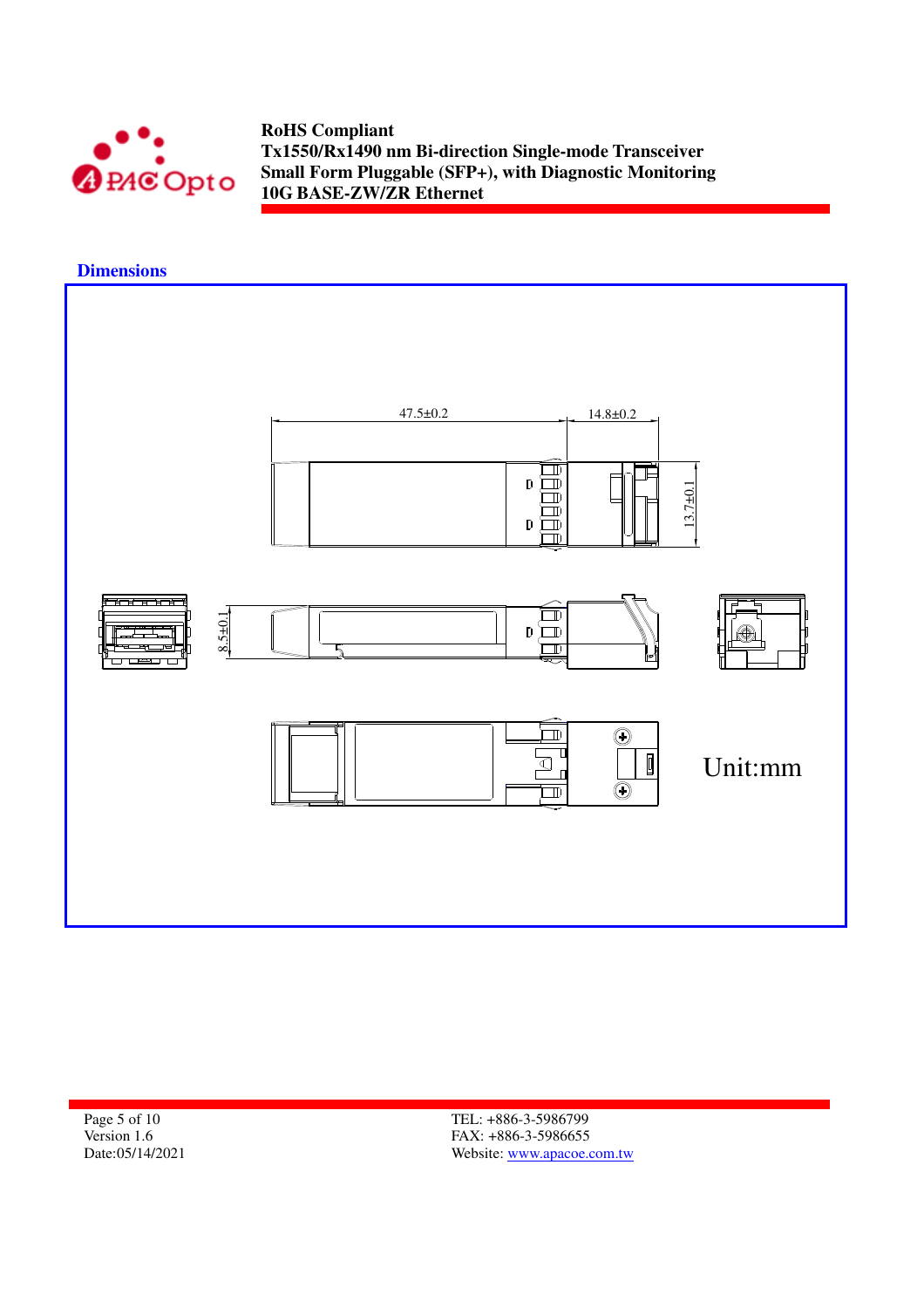

 **Dimensions** 



Page 5 of 10 Version 1.6 Date:05/14/2021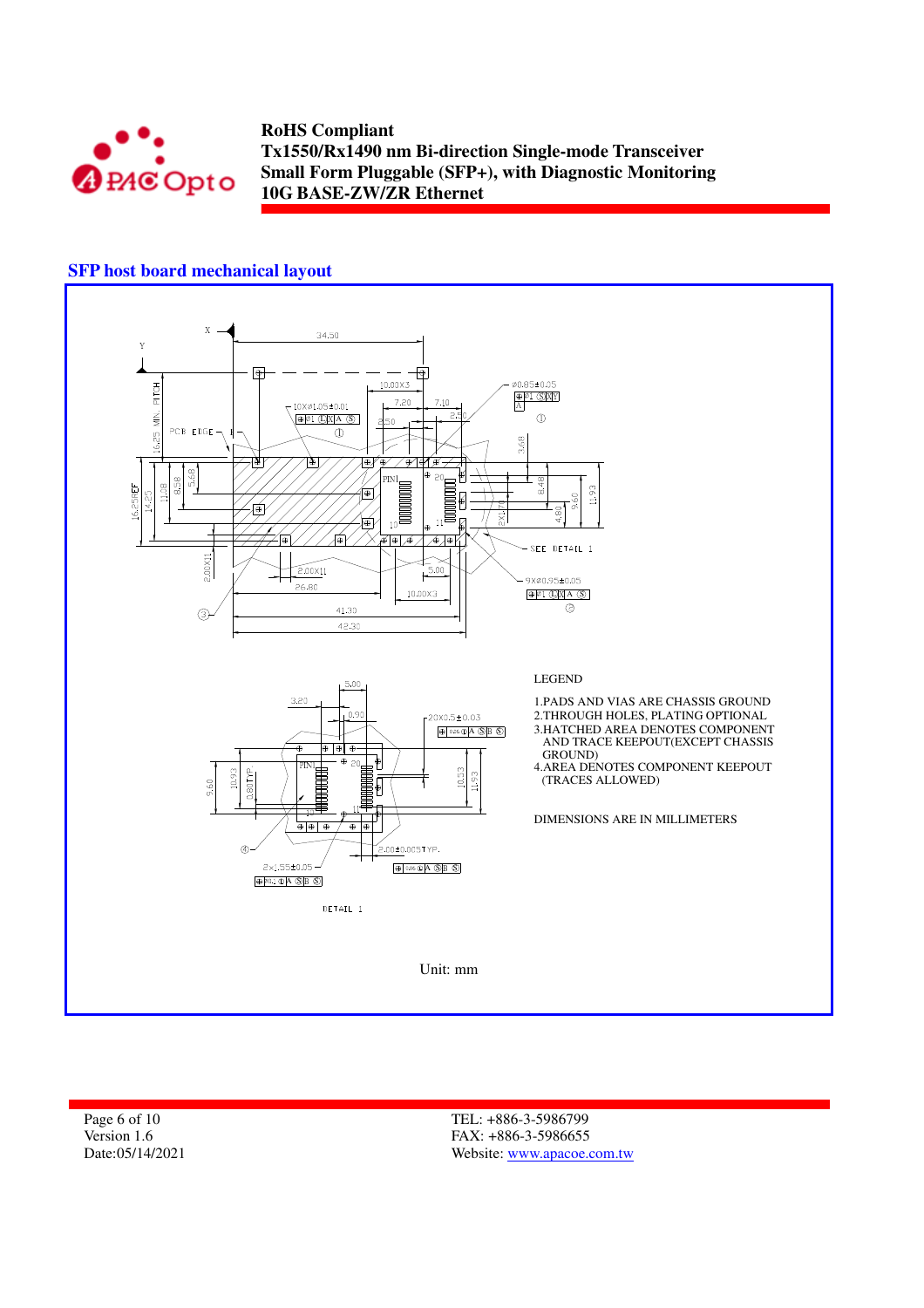

## **SFP host board mechanical layout**



Page 6 of 10 Version 1.6 Date:05/14/2021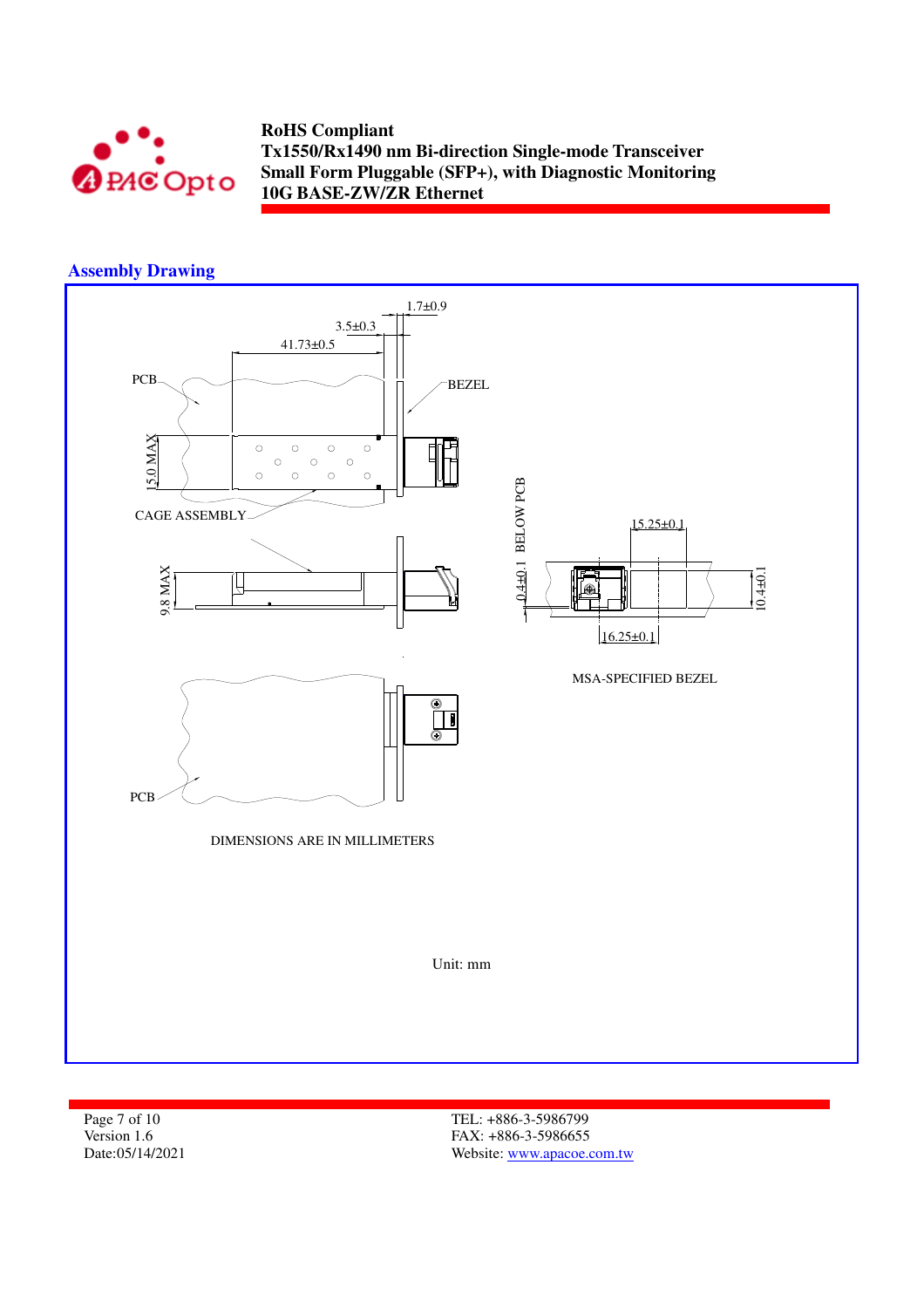

## **Assembly Drawing**



Page 7 of 10 Version 1.6 Date:05/14/2021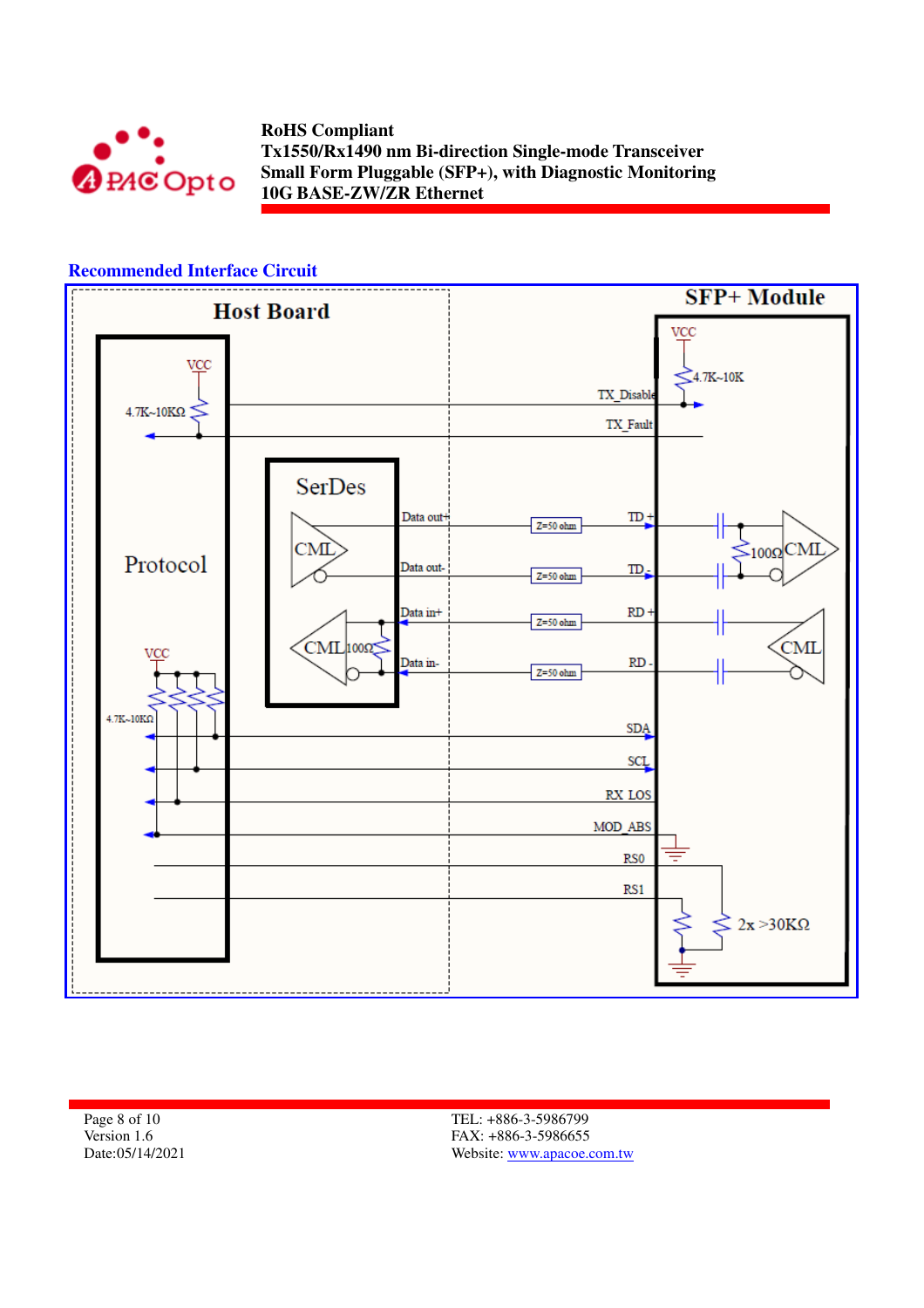



Page 8 of 10 Version 1.6 Date:05/14/2021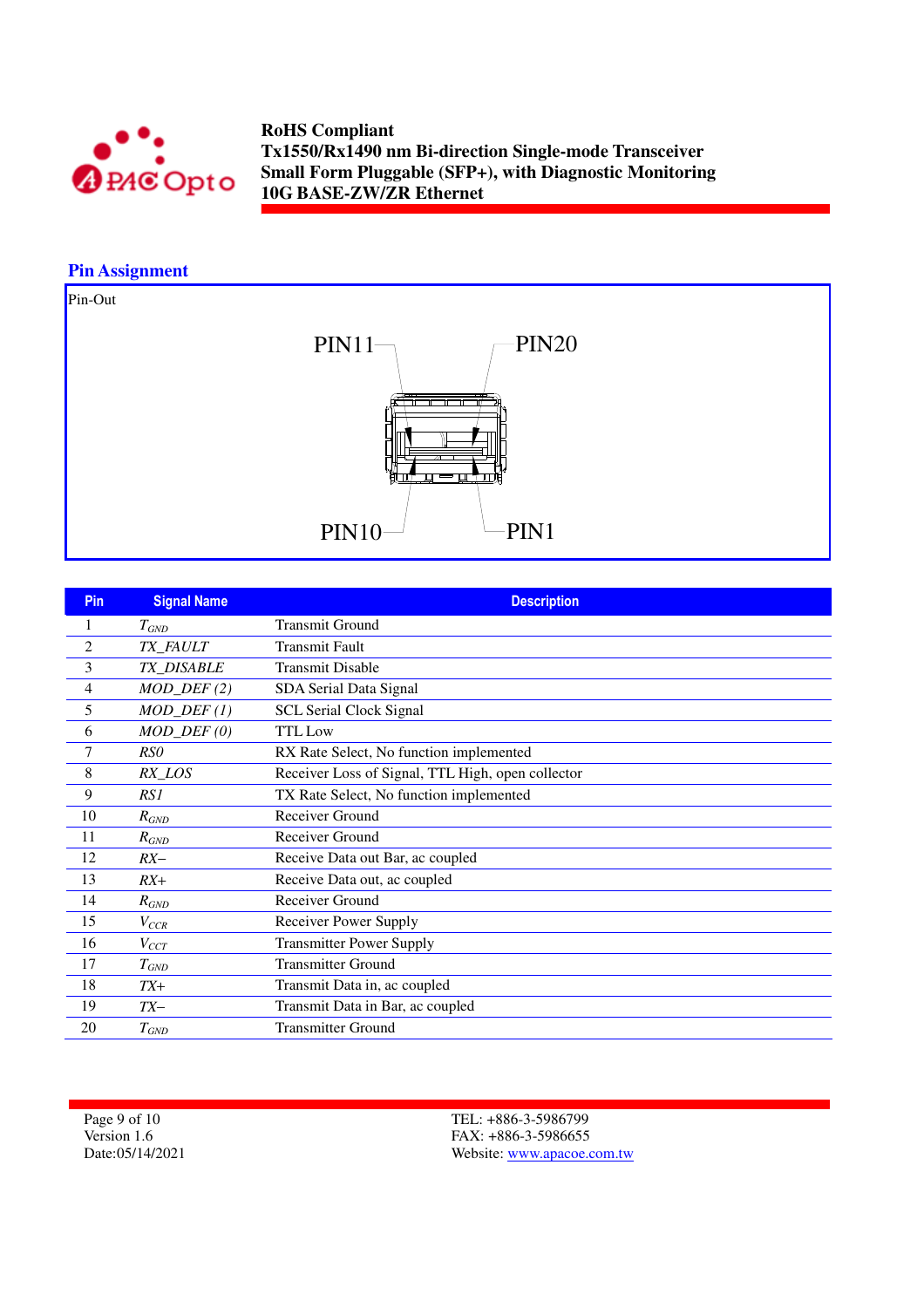

## **Pin Assignment**

Pin-Out



| <b>Pin</b> | <b>Signal Name</b>      | <b>Description</b>                                |
|------------|-------------------------|---------------------------------------------------|
| 1          | $T_{GND}$               | <b>Transmit Ground</b>                            |
| 2          | TX_FAULT                | <b>Transmit Fault</b>                             |
| 3          | TX_DISABLE              | <b>Transmit Disable</b>                           |
| 4          | $MOD_$ DEF (2)          | SDA Serial Data Signal                            |
| 5          | $MOD_$ <i>DEF</i> $(1)$ | <b>SCL Serial Clock Signal</b>                    |
| 6          | $MOD_$ $DEF (0)$        | <b>TTL</b> Low                                    |
| 7          | RSO                     | RX Rate Select, No function implemented           |
| 8          | RX_LOS                  | Receiver Loss of Signal, TTL High, open collector |
| 9          | RS1                     | TX Rate Select, No function implemented           |
| 10         | $R_{GND}$               | Receiver Ground                                   |
| 11         | $R_{GND}$               | Receiver Ground                                   |
| 12         | $RX-$                   | Receive Data out Bar, ac coupled                  |
| 13         | $RX+$                   | Receive Data out, ac coupled                      |
| 14         | $R_{GND}$               | Receiver Ground                                   |
| 15         | $V_{CCR}$               | Receiver Power Supply                             |
| 16         | $V_{CCT}$               | <b>Transmitter Power Supply</b>                   |
| 17         | $T_{GND}$               | <b>Transmitter Ground</b>                         |
| 18         | $TX+$                   | Transmit Data in, ac coupled                      |
| 19         | $TX-$                   | Transmit Data in Bar, ac coupled                  |
| 20         | $T_{GND}$               | <b>Transmitter Ground</b>                         |

Page 9 of 10 Version 1.6 Date:05/14/2021